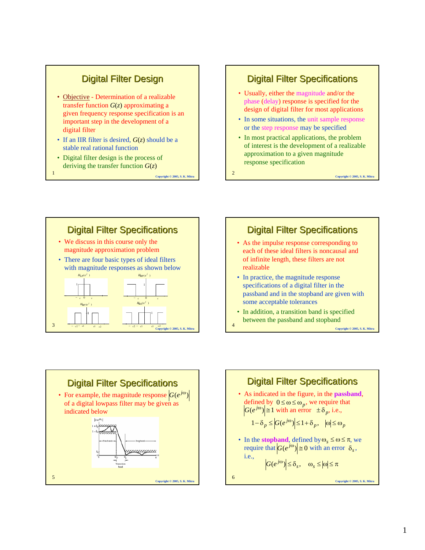## **Digital Filter Design**

- Objective Determination of a realizable transfer function *G*(*z*) approximating a given frequency response specification is an important step in the development of a digital filter
- If an IIR filter is desired, *G*(*z*) should be a stable real rational function
- Digital filter design is the process of deriving the transfer function *G*(*z*)

<sup>1</sup> **Copyright © 2005, S. K. Mitra**

#### **Digital Filter Specifications**

- Usually, either the magnitude and/or the phase (delay) response is specified for the design of digital filter for most applications
- In some situations, the unit sample response or the step response may be specified
- In most practical applications, the problem of interest is the development of a realizable approximation to a given magnitude response specification

<sup>2</sup> **Copyright © 2005, S. K. Mitra**



#### **Digital Filter Specifications**

- As the impulse response corresponding to each of these ideal filters is noncausal and of infinite length, these filters are not realizable
- In practice, the magnitude response specifications of a digital filter in the passband and in the stopband are given with some acceptable tolerances
- <sup>4</sup> **Copyright © 2005, S. K. Mitra** In addition, a transition band is specified between the passband and stopband



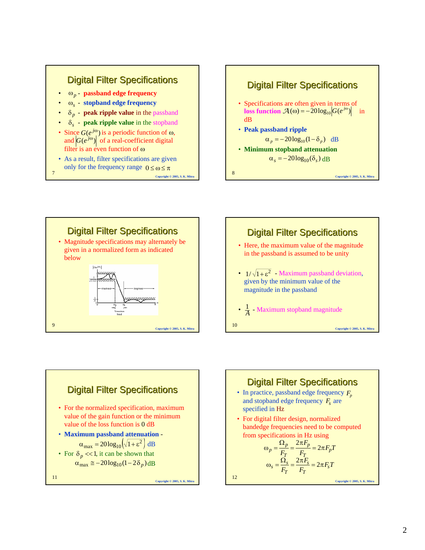









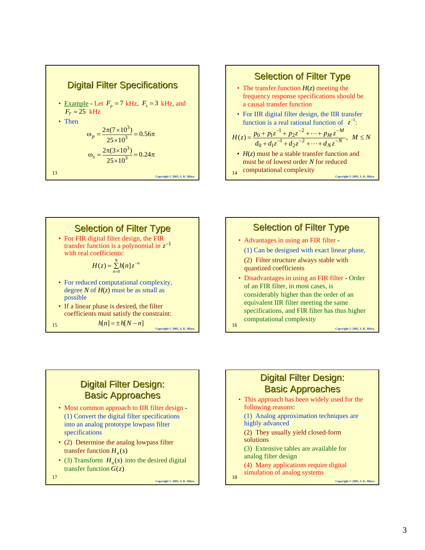







### **Digital Filter Design: Basic Approaches**

- Most common approach to IIR filter design (1) Convert the digital filter specifications into an analog prototype lowpass filter specifications
- (2) Determine the analog lowpass filter transfer function  $H_a(s)$
- (3) Transform  $H_a(s)$  into the desired digital transfer function *G*(*z*)

<sup>17</sup> **Copyright © 2005, S. K. Mitra**

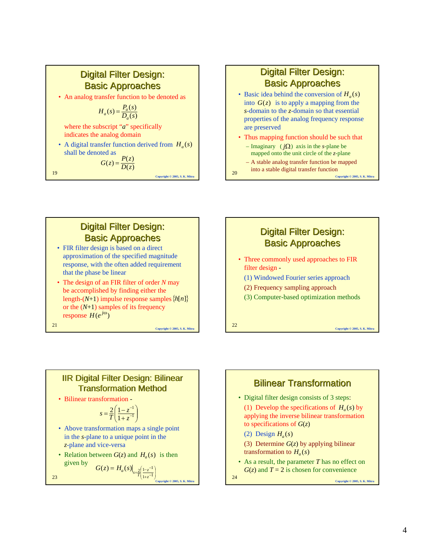### **Digital Filter Design: Basic Approaches**

• An analog transfer function to be denoted as

$$
H_a(s) = \frac{P_a(s)}{D_a(s)}
$$

where the subscript "*a*" specifically indicates the analog domain

• A digital transfer function derived from  $H_a(s)$ shall be denoted as

$$
G(z) = \frac{P(z)}{D(z)}
$$
  
19  
Coovrich 0 2005, S. K. Mil

**Digital Filter Design: Basic Approaches** 

- Basic idea behind the conversion of  $H_a(s)$ into  $G(z)$  is to apply a mapping from the *s*-domain to the *z*-domain so that essential properties of the analog frequency response are preserved
- Thus mapping function should be such that
	- $-$  Imaginary ( $j\Omega$ ) axis in the *s*-plane be mapped onto the unit circle of the *z*-plane – A stable analog transfer function be mapped
- **20 COPY 11110 COPY 11110 COPY 2005**, S. K. Mitransfer **COPY** Copyright © 2005, S. K. Mit into a stable digital transfer function

**Digital Filter Design: Basic Approaches** 

• Three commonly used approaches to FIR

# **Digital Filter Design: Basic Approaches**

- FIR filter design is based on a direct approximation of the specified magnitude response, with the often added requirement that the phase be linear
- The design of an FIR filter of order *N* may be accomplished by finding either the length-(*N*+1) impulse response samples {*h*[*n*]} or the (*N*+1) samples of its frequency  $r$ esponse  $H(e^{j\omega})$

<sup>21</sup> **Copyright © 2005, S. K. Mitra**

#### **IIR Digital Filter Design: Bilinear** Transformation Method

• Bilinear transformation -

$$
s = \frac{2}{T} \left( \frac{1 - z^{-1}}{1 + z^{-1}} \right)
$$

- Above transformation maps a single point in the *s*-plane to a unique point in the *z*-plane and vice-versa
- Relation between  $G(z)$  and  $H_a(s)$  is then given by ⎞ ⎛  $(z) = H_a(s)\Big|_{s=\frac{2}{T}} \Big|\frac{1-z^{-1}}{1+z^{-1}}$  $G(z) = H_a(s) \Big|_{s = \frac{2}{T}} \Big|_{\frac{1-z}{1+z}}$

⎠

*z*

 $\parallel$ ⎝

23 **Co**  $\left(\frac{z}{t}\right) = H_a(x)I_{s=\frac{2}{t}}\left[\frac{1-z}{1+z^{-1}}\right]_{\text{Conyrright 0.2005, S. K. Mira}}$ 



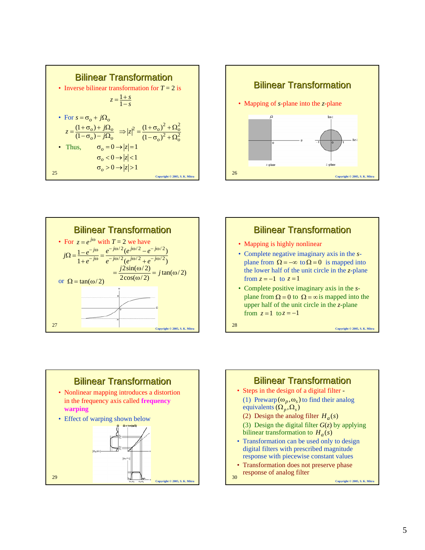| <b>Bilinear Transformation</b><br>• Inverse bilinear transformation for $T = 2$ is<br>$z=\frac{1+s}{1-s}$ |                                                                                                                                                     |                               |
|-----------------------------------------------------------------------------------------------------------|-----------------------------------------------------------------------------------------------------------------------------------------------------|-------------------------------|
| • For $s = \sigma_{\alpha} + i\Omega_{\alpha}$                                                            | $z = \frac{(1+\sigma_o) + j\Omega_o}{(1-\sigma_o) - j\Omega_o} \Rightarrow  z ^2 = \frac{(1+\sigma_o)^2 + \Omega_o^2}{(1-\sigma_o)^2 + \Omega_o^2}$ |                               |
| • Thus.                                                                                                   | $\sigma_{0} = 0 \rightarrow  z  = 1$                                                                                                                |                               |
|                                                                                                           | $\sigma$ <sub>o</sub> < 0 $\rightarrow$  z  < 1                                                                                                     |                               |
| 25                                                                                                        | $\sigma_{0} > 0 \rightarrow  z  > 1$                                                                                                                |                               |
|                                                                                                           |                                                                                                                                                     | Copyright © 2005, S. K. Mitra |









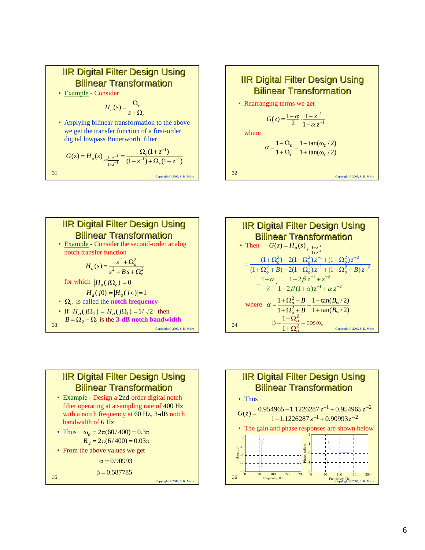









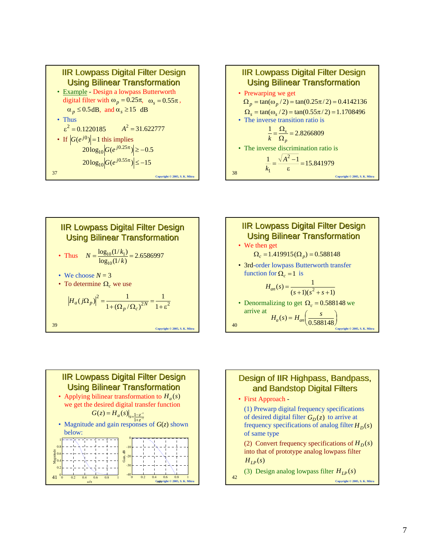









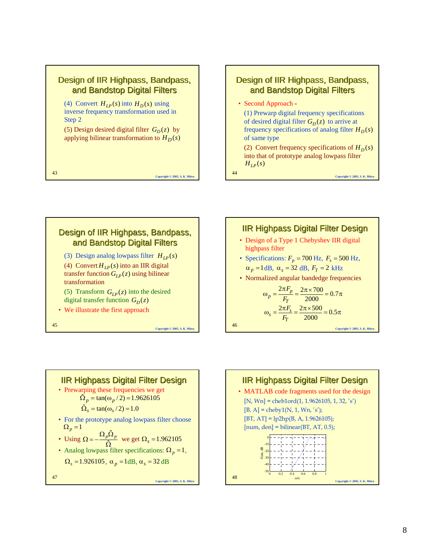

#### Design of IIR Highpass, Bandpass, and Bandstop Digital Filters

• Second Approach -

(1) Prewarp digital frequency specifications of desired digital filter  $G_D(z)$  to arrive at frequency specifications of analog filter  $H_D(s)$ of same type

(2) Convert frequency specifications of  $H_D(s)$ into that of prototype analog lowpass filter  $H_{LP}(s)$ 

<sup>44</sup> **Copyright © 2005, S. K. Mitra**







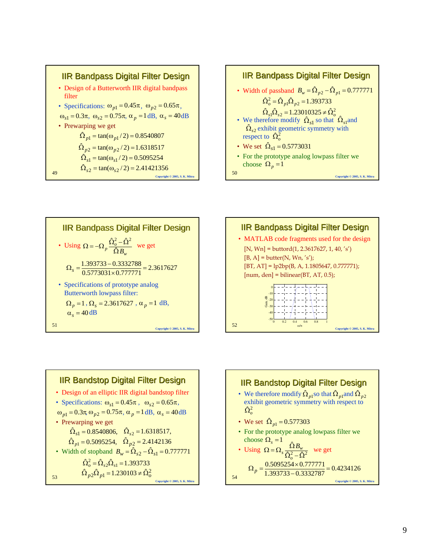